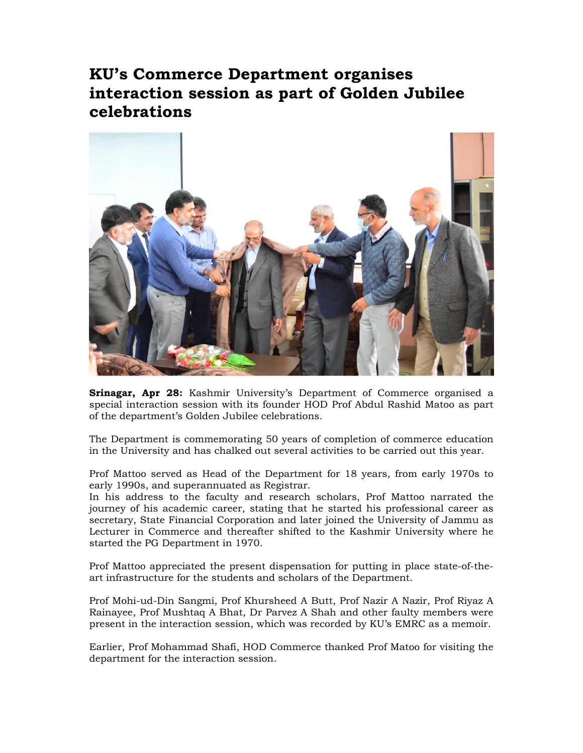## **KU's Commerce Department organises interaction session as part of Golden Jubilee celebrations**



**Srinagar, Apr 28:** Kashmir University's Department of Commerce organised a special interaction session with its founder HOD Prof Abdul Rashid Matoo as part of the department's Golden Jubilee celebrations.

The Department is commemorating 50 years of completion of commerce education in the University and has chalked out several activities to be carried out this year.

Prof Mattoo served as Head of the Department for 18 years, from early 1970s to early 1990s, and superannuated as Registrar.

In his address to the faculty and research scholars, Prof Mattoo narrated the journey of his academic career, stating that he started his professional career as secretary, State Financial Corporation and later joined the University of Jammu as Lecturer in Commerce and thereafter shifted to the Kashmir University where he started the PG Department in 1970.

Prof Mattoo appreciated the present dispensation for putting in place state-of-theart infrastructure for the students and scholars of the Department.

Prof Mohi-ud-Din Sangmi, Prof Khursheed A Butt, Prof Nazir A Nazir, Prof Riyaz A Rainayee, Prof Mushtaq A Bhat, Dr Parvez A Shah and other faulty members were present in the interaction session, which was recorded by KU's EMRC as a memoir.

Earlier, Prof Mohammad Shafi, HOD Commerce thanked Prof Matoo for visiting the department for the interaction session.